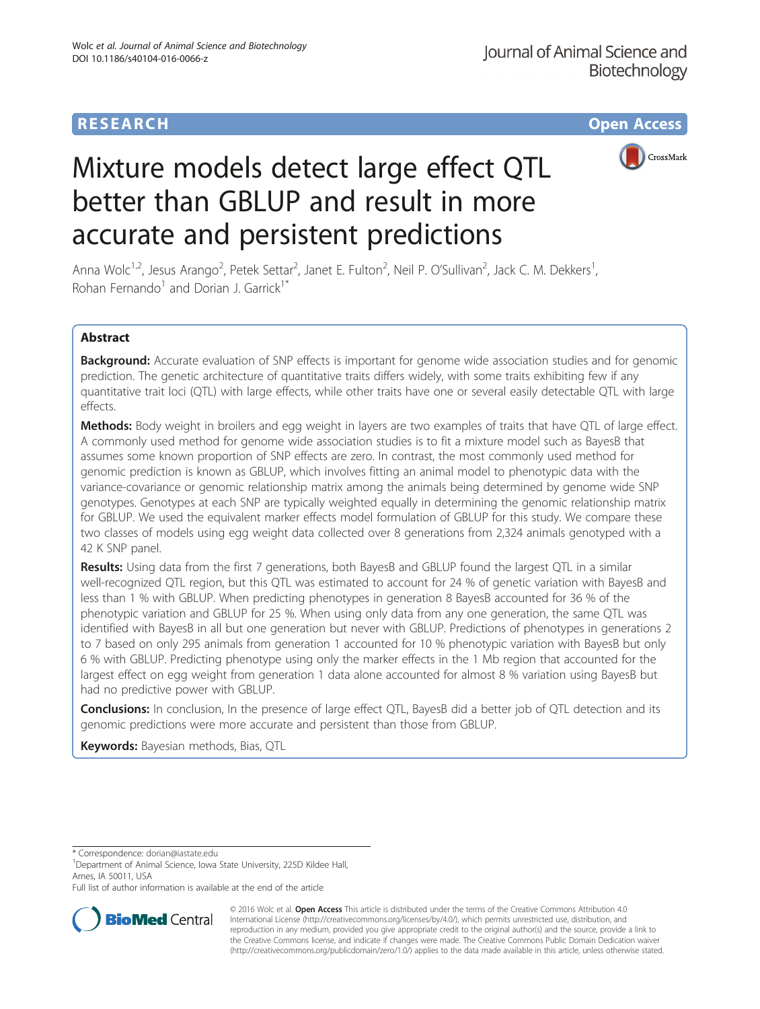# **RESEARCH CHE Open Access**



# Mixture models detect large effect QTL better than GBLUP and result in more accurate and persistent predictions

Anna Wolc<sup>1,2</sup>, Jesus Arango<sup>2</sup>, Petek Settar<sup>2</sup>, Janet E. Fulton<sup>2</sup>, Neil P. O'Sullivan<sup>2</sup>, Jack C. M. Dekkers<sup>1</sup> , Rohan Fernando<sup>1</sup> and Dorian J. Garrick<sup>1\*</sup>

## Abstract

Background: Accurate evaluation of SNP effects is important for genome wide association studies and for genomic prediction. The genetic architecture of quantitative traits differs widely, with some traits exhibiting few if any quantitative trait loci (QTL) with large effects, while other traits have one or several easily detectable QTL with large effects.

Methods: Body weight in broilers and egg weight in layers are two examples of traits that have QTL of large effect. A commonly used method for genome wide association studies is to fit a mixture model such as BayesB that assumes some known proportion of SNP effects are zero. In contrast, the most commonly used method for genomic prediction is known as GBLUP, which involves fitting an animal model to phenotypic data with the variance-covariance or genomic relationship matrix among the animals being determined by genome wide SNP genotypes. Genotypes at each SNP are typically weighted equally in determining the genomic relationship matrix for GBLUP. We used the equivalent marker effects model formulation of GBLUP for this study. We compare these two classes of models using egg weight data collected over 8 generations from 2,324 animals genotyped with a 42 K SNP panel.

Results: Using data from the first 7 generations, both BayesB and GBLUP found the largest QTL in a similar well-recognized QTL region, but this QTL was estimated to account for 24 % of genetic variation with BayesB and less than 1 % with GBLUP. When predicting phenotypes in generation 8 BayesB accounted for 36 % of the phenotypic variation and GBLUP for 25 %. When using only data from any one generation, the same QTL was identified with BayesB in all but one generation but never with GBLUP. Predictions of phenotypes in generations 2 to 7 based on only 295 animals from generation 1 accounted for 10 % phenotypic variation with BayesB but only 6 % with GBLUP. Predicting phenotype using only the marker effects in the 1 Mb region that accounted for the largest effect on egg weight from generation 1 data alone accounted for almost 8 % variation using BayesB but had no predictive power with GBLUP.

Conclusions: In conclusion, In the presence of large effect QTL, BayesB did a better job of QTL detection and its genomic predictions were more accurate and persistent than those from GBLUP.

Keywords: Bayesian methods, Bias, QTL

\* Correspondence: [dorian@iastate.edu](mailto:dorian@iastate.edu) <sup>1</sup>

<sup>1</sup>Department of Animal Science, Iowa State University, 225D Kildee Hall, Ames, IA 50011, USA

Full list of author information is available at the end of the article



© 2016 Wolc et al. Open Access This article is distributed under the terms of the Creative Commons Attribution 4.0 International License [\(http://creativecommons.org/licenses/by/4.0/](http://creativecommons.org/licenses/by/4.0/)), which permits unrestricted use, distribution, and reproduction in any medium, provided you give appropriate credit to the original author(s) and the source, provide a link to the Creative Commons license, and indicate if changes were made. The Creative Commons Public Domain Dedication waiver [\(http://creativecommons.org/publicdomain/zero/1.0/](http://creativecommons.org/publicdomain/zero/1.0/)) applies to the data made available in this article, unless otherwise stated.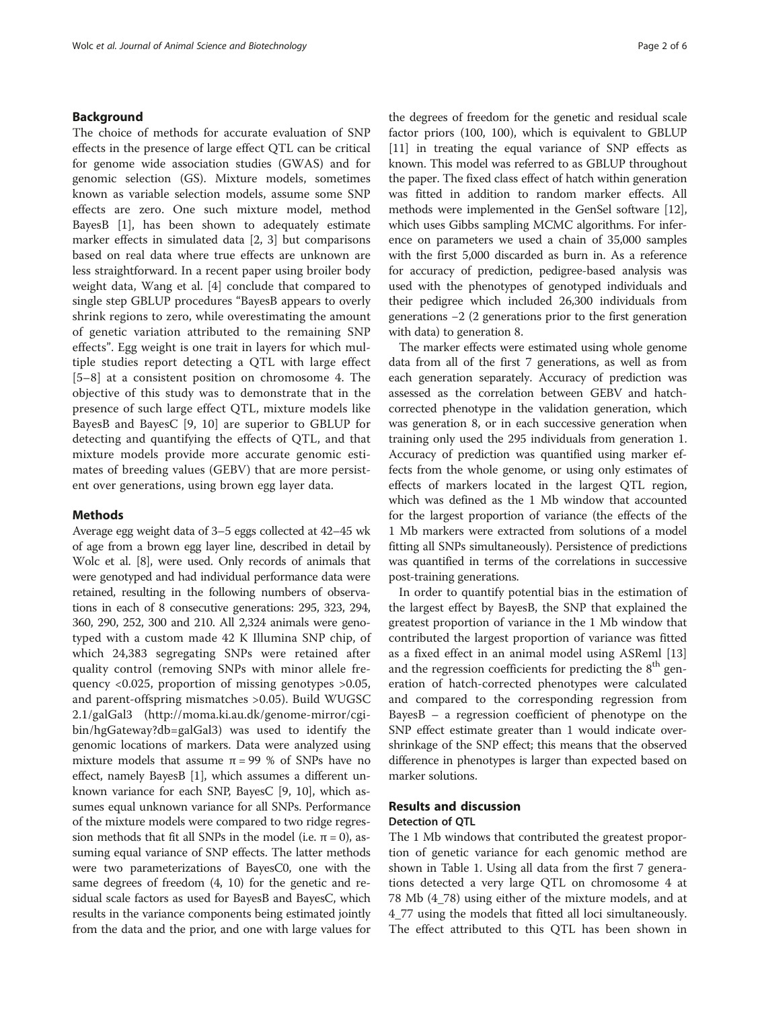#### Background

The choice of methods for accurate evaluation of SNP effects in the presence of large effect QTL can be critical for genome wide association studies (GWAS) and for genomic selection (GS). Mixture models, sometimes known as variable selection models, assume some SNP effects are zero. One such mixture model, method BayesB [\[1](#page-4-0)], has been shown to adequately estimate marker effects in simulated data [[2, 3\]](#page-4-0) but comparisons based on real data where true effects are unknown are less straightforward. In a recent paper using broiler body weight data, Wang et al. [[4\]](#page-4-0) conclude that compared to single step GBLUP procedures "BayesB appears to overly shrink regions to zero, while overestimating the amount of genetic variation attributed to the remaining SNP effects". Egg weight is one trait in layers for which multiple studies report detecting a QTL with large effect [[5](#page-5-0)–[8\]](#page-5-0) at a consistent position on chromosome 4. The objective of this study was to demonstrate that in the presence of such large effect QTL, mixture models like BayesB and BayesC [[9, 10](#page-5-0)] are superior to GBLUP for detecting and quantifying the effects of QTL, and that mixture models provide more accurate genomic estimates of breeding values (GEBV) that are more persistent over generations, using brown egg layer data.

#### Methods

Average egg weight data of 3–5 eggs collected at 42–45 wk of age from a brown egg layer line, described in detail by Wolc et al. [[8\]](#page-5-0), were used. Only records of animals that were genotyped and had individual performance data were retained, resulting in the following numbers of observations in each of 8 consecutive generations: 295, 323, 294, 360, 290, 252, 300 and 210. All 2,324 animals were genotyped with a custom made 42 K Illumina SNP chip, of which 24,383 segregating SNPs were retained after quality control (removing SNPs with minor allele frequency <0.025, proportion of missing genotypes >0.05, and parent-offspring mismatches >0.05). Build WUGSC 2.1/galGal3 [\(http://moma.ki.au.dk/genome-mirror/cgi](http://moma.ki.au.dk/genome-mirror/cgi-bin/hgGateway?db=galGal3)[bin/hgGateway?db=galGal3](http://moma.ki.au.dk/genome-mirror/cgi-bin/hgGateway?db=galGal3)) was used to identify the genomic locations of markers. Data were analyzed using mixture models that assume  $π = 99 %$  of SNPs have no effect, namely BayesB [\[1](#page-4-0)], which assumes a different unknown variance for each SNP, BayesC [\[9](#page-5-0), [10\]](#page-5-0), which assumes equal unknown variance for all SNPs. Performance of the mixture models were compared to two ridge regression methods that fit all SNPs in the model (i.e.  $π = 0$ ), assuming equal variance of SNP effects. The latter methods were two parameterizations of BayesC0, one with the same degrees of freedom (4, 10) for the genetic and residual scale factors as used for BayesB and BayesC, which results in the variance components being estimated jointly from the data and the prior, and one with large values for

the degrees of freedom for the genetic and residual scale factor priors (100, 100), which is equivalent to GBLUP [[11](#page-5-0)] in treating the equal variance of SNP effects as known. This model was referred to as GBLUP throughout the paper. The fixed class effect of hatch within generation was fitted in addition to random marker effects. All methods were implemented in the GenSel software [[12](#page-5-0)], which uses Gibbs sampling MCMC algorithms. For inference on parameters we used a chain of 35,000 samples with the first 5,000 discarded as burn in. As a reference for accuracy of prediction, pedigree-based analysis was used with the phenotypes of genotyped individuals and their pedigree which included 26,300 individuals from generations −2 (2 generations prior to the first generation with data) to generation 8.

The marker effects were estimated using whole genome data from all of the first 7 generations, as well as from each generation separately. Accuracy of prediction was assessed as the correlation between GEBV and hatchcorrected phenotype in the validation generation, which was generation 8, or in each successive generation when training only used the 295 individuals from generation 1. Accuracy of prediction was quantified using marker effects from the whole genome, or using only estimates of effects of markers located in the largest QTL region, which was defined as the 1 Mb window that accounted for the largest proportion of variance (the effects of the 1 Mb markers were extracted from solutions of a model fitting all SNPs simultaneously). Persistence of predictions was quantified in terms of the correlations in successive post-training generations.

In order to quantify potential bias in the estimation of the largest effect by BayesB, the SNP that explained the greatest proportion of variance in the 1 Mb window that contributed the largest proportion of variance was fitted as a fixed effect in an animal model using ASReml [[13](#page-5-0)] and the regression coefficients for predicting the  $8<sup>th</sup>$  generation of hatch-corrected phenotypes were calculated and compared to the corresponding regression from BayesB – a regression coefficient of phenotype on the SNP effect estimate greater than 1 would indicate overshrinkage of the SNP effect; this means that the observed difference in phenotypes is larger than expected based on marker solutions.

# Results and discussion

## Detection of QTL

The 1 Mb windows that contributed the greatest proportion of genetic variance for each genomic method are shown in Table [1.](#page-2-0) Using all data from the first 7 generations detected a very large QTL on chromosome 4 at 78 Mb (4\_78) using either of the mixture models, and at 4\_77 using the models that fitted all loci simultaneously. The effect attributed to this QTL has been shown in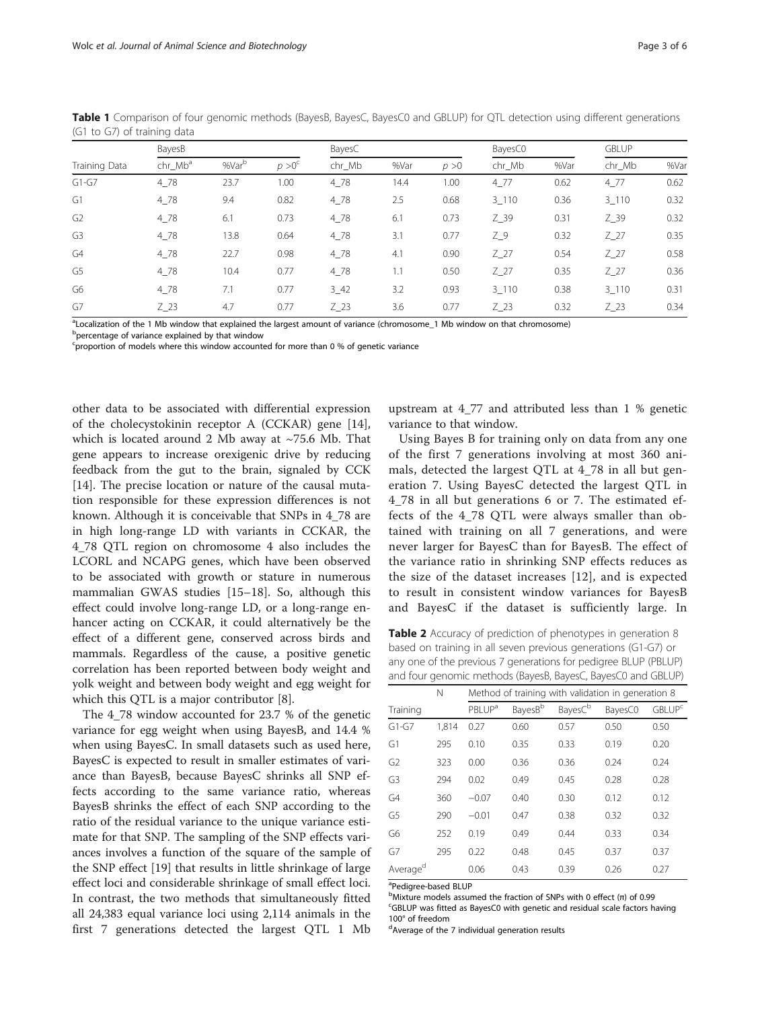|                | BayesB              |                   |                 | BayesC   |      |       | BayesC0   |      | <b>GBLUP</b> |      |
|----------------|---------------------|-------------------|-----------------|----------|------|-------|-----------|------|--------------|------|
| Training Data  | chr_Mb <sup>a</sup> | %Var <sup>b</sup> | $p > 0^{\circ}$ | chr Mb   | %Var | p > 0 | chr_Mb    | %Var | chr_Mb       | %Var |
| $G1-G7$        | $4 - 78$            | 23.7              | 1.00            | $4 - 78$ | 14.4 | 1.00  | 477       | 0.62 | 477          | 0.62 |
| G1             | $4 - 78$            | 9.4               | 0.82            | $4 - 78$ | 2.5  | 0.68  | $3 - 110$ | 0.36 | $3 - 110$    | 0.32 |
| G <sub>2</sub> | $4 - 78$            | 6.1               | 0.73            | $4 - 78$ | 6.1  | 0.73  | $Z_39$    | 0.31 | $Z_{.}$ 39   | 0.32 |
| G <sub>3</sub> | $4 - 78$            | 13.8              | 0.64            | $4 - 78$ | 3.1  | 0.77  | $Z_9$     | 0.32 | $Z_2$ 7      | 0.35 |
| G4             | 4 78                | 22.7              | 0.98            | $4 - 78$ | 4.1  | 0.90  | $Z_2$     | 0.54 | $Z_2$ 7      | 0.58 |
| G5             | $4 - 78$            | 10.4              | 0.77            | $4 - 78$ | 1.1  | 0.50  | $Z_2$     | 0.35 | $Z_2$        | 0.36 |
| G6             | $4_{78}$            | 7.1               | 0.77            | $3 - 42$ | 3.2  | 0.93  | 3 1 1 0   | 0.38 | 3 1 1 0      | 0.31 |
| G7             | $Z_23$              | 4.7               | 0.77            | $Z_23$   | 3.6  | 0.77  | $Z_2$     | 0.32 | $Z_2$ 23     | 0.34 |

<span id="page-2-0"></span>Table 1 Comparison of four genomic methods (BayesB, BayesC, BayesC0 and GBLUP) for QTL detection using different generations (G1 to G7) of training data

a Localization of the 1 Mb window that explained the largest amount of variance (chromosome\_1 Mb window on that chromosome)

<sup>b</sup>percentage of variance explained by that window

<sup>c</sup>proportion of models where this window accounted for more than 0 % of genetic variance

other data to be associated with differential expression of the cholecystokinin receptor A (CCKAR) gene [\[14](#page-5-0)], which is located around 2 Mb away at ~75.6 Mb. That gene appears to increase orexigenic drive by reducing feedback from the gut to the brain, signaled by CCK [[14\]](#page-5-0). The precise location or nature of the causal mutation responsible for these expression differences is not known. Although it is conceivable that SNPs in 4\_78 are in high long-range LD with variants in CCKAR, the 4\_78 QTL region on chromosome 4 also includes the LCORL and NCAPG genes, which have been observed to be associated with growth or stature in numerous mammalian GWAS studies [\[15](#page-5-0)–[18\]](#page-5-0). So, although this effect could involve long-range LD, or a long-range enhancer acting on CCKAR, it could alternatively be the effect of a different gene, conserved across birds and mammals. Regardless of the cause, a positive genetic correlation has been reported between body weight and yolk weight and between body weight and egg weight for which this QTL is a major contributor [[8\]](#page-5-0).

The 4\_78 window accounted for 23.7 % of the genetic variance for egg weight when using BayesB, and 14.4 % when using BayesC. In small datasets such as used here, BayesC is expected to result in smaller estimates of variance than BayesB, because BayesC shrinks all SNP effects according to the same variance ratio, whereas BayesB shrinks the effect of each SNP according to the ratio of the residual variance to the unique variance estimate for that SNP. The sampling of the SNP effects variances involves a function of the square of the sample of the SNP effect [\[19](#page-5-0)] that results in little shrinkage of large effect loci and considerable shrinkage of small effect loci. In contrast, the two methods that simultaneously fitted all 24,383 equal variance loci using 2,114 animals in the first 7 generations detected the largest QTL 1 Mb

upstream at 4\_77 and attributed less than 1 % genetic variance to that window.

Using Bayes B for training only on data from any one of the first 7 generations involving at most 360 animals, detected the largest QTL at 4\_78 in all but generation 7. Using BayesC detected the largest QTL in 4\_78 in all but generations 6 or 7. The estimated effects of the 4\_78 QTL were always smaller than obtained with training on all 7 generations, and were never larger for BayesC than for BayesB. The effect of the variance ratio in shrinking SNP effects reduces as the size of the dataset increases [\[12](#page-5-0)], and is expected to result in consistent window variances for BayesB and BayesC if the dataset is sufficiently large. In

Table 2 Accuracy of prediction of phenotypes in generation 8 based on training in all seven previous generations (G1-G7) or any one of the previous 7 generations for pedigree BLUP (PBLUP) and four genomic methods (BayesB, BayesC, BayesC0 and GBLUP)

|                | N     | Method of training with validation in generation 8 |                     |                     |         |                          |  |
|----------------|-------|----------------------------------------------------|---------------------|---------------------|---------|--------------------------|--|
| Training       |       | <b>PBLUP</b> <sup>a</sup>                          | BayesB <sup>b</sup> | Bayes <sup>Cb</sup> | BayesC0 | <b>GBLUP<sup>c</sup></b> |  |
| $G1-G7$        | 1.814 | 0.27                                               | 0.60                | 0.57                | 0.50    | 0.50                     |  |
| G1             | 295   | 0.10                                               | 0.35                | 0.33                | 0.19    | 0.20                     |  |
| G <sub>2</sub> | 323   | 0.00                                               | 0.36                | 0.36                | 0.24    | 0.24                     |  |
| G3             | 294   | 0.02                                               | 0.49                | 0.45                | 0.28    | 0.28                     |  |
| G <sub>4</sub> | 360   | $-0.07$                                            | 0.40                | 0.30                | 0.12    | 0.12                     |  |
| G <sub>5</sub> | 290   | $-0.01$                                            | 0.47                | 0.38                | 0.32    | 0.32                     |  |
| G6             | 252   | 0.19                                               | 0.49                | 0.44                | 0.33    | 0.34                     |  |
| G7             | 295   | 0.22                                               | 0.48                | 0.45                | 0.37    | 0.37                     |  |
| Averaged       |       | 0.06                                               | 0.43                | 0.39                | 0.26    | 0.27                     |  |

<sup>a</sup>Pedigree-based BLUP

 $b$ Mixture models assumed the fraction of SNPs with 0 effect (π) of 0.99<br>SCRLUB was fitted as Payes CO with genetic and residual scale factors h GBLUP was fitted as BayesC0 with genetic and residual scale factors having 100° of freedom

dAverage of the 7 individual generation results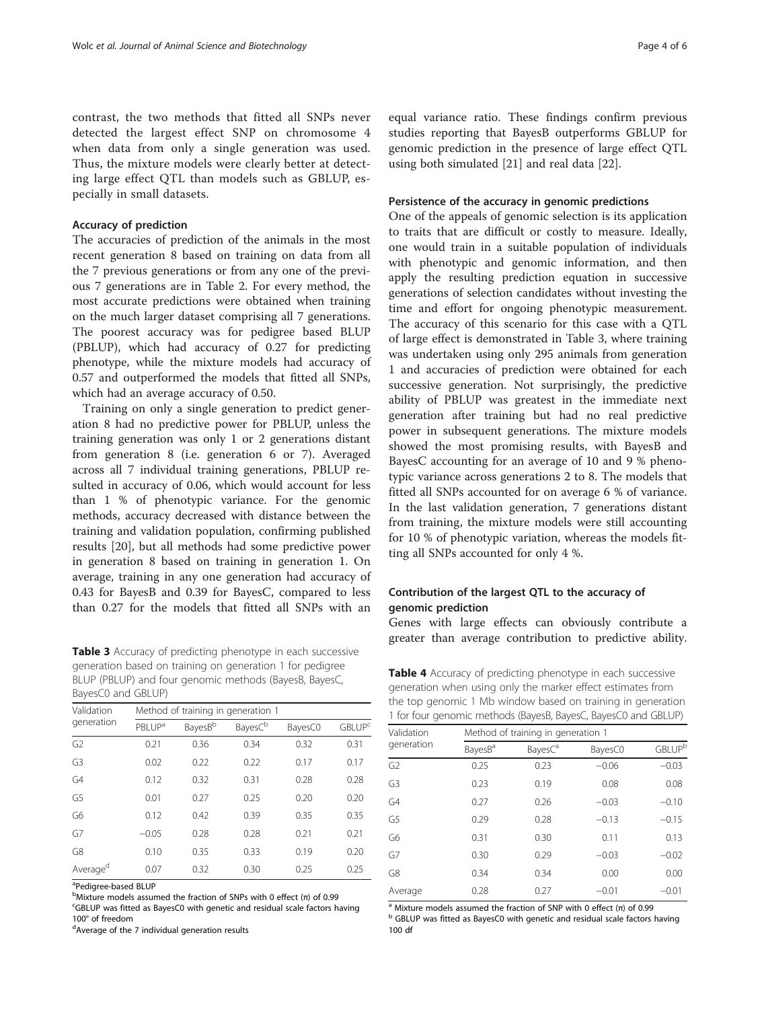<span id="page-3-0"></span>contrast, the two methods that fitted all SNPs never detected the largest effect SNP on chromosome 4 when data from only a single generation was used. Thus, the mixture models were clearly better at detecting large effect QTL than models such as GBLUP, especially in small datasets.

#### Accuracy of prediction

The accuracies of prediction of the animals in the most recent generation 8 based on training on data from all the 7 previous generations or from any one of the previous 7 generations are in Table [2](#page-2-0). For every method, the most accurate predictions were obtained when training on the much larger dataset comprising all 7 generations. The poorest accuracy was for pedigree based BLUP (PBLUP), which had accuracy of 0.27 for predicting phenotype, while the mixture models had accuracy of 0.57 and outperformed the models that fitted all SNPs, which had an average accuracy of 0.50.

Training on only a single generation to predict generation 8 had no predictive power for PBLUP, unless the training generation was only 1 or 2 generations distant from generation 8 (i.e. generation 6 or 7). Averaged across all 7 individual training generations, PBLUP resulted in accuracy of 0.06, which would account for less than 1 % of phenotypic variance. For the genomic methods, accuracy decreased with distance between the training and validation population, confirming published results [\[20](#page-5-0)], but all methods had some predictive power in generation 8 based on training in generation 1. On average, training in any one generation had accuracy of 0.43 for BayesB and 0.39 for BayesC, compared to less than 0.27 for the models that fitted all SNPs with an

Table 3 Accuracy of predicting phenotype in each successive generation based on training on generation 1 for pedigree BLUP (PBLUP) and four genomic methods (BayesB, BayesC, BayesC0 and GBLUP)

| Validation           | Method of training in generation 1 |                     |                     |         |                          |  |  |  |  |
|----------------------|------------------------------------|---------------------|---------------------|---------|--------------------------|--|--|--|--|
| generation           | <b>PBLUP</b> <sup>a</sup>          | Bayes <sup>Bb</sup> | Bayes <sup>Cb</sup> | BayesC0 | <b>GBLUP<sup>c</sup></b> |  |  |  |  |
| G <sub>2</sub>       | 0.21                               | 0.36                | 0.34                | 0.32    | 0.31                     |  |  |  |  |
| G3                   | 0.02                               | 0.22                | 0.22                | 0.17    | 0.17                     |  |  |  |  |
| G <sub>4</sub>       | 0.12                               | 0.32                | 0.31                | 0.28    | 0.28                     |  |  |  |  |
| G5                   | 0.01                               | 0.27                | 0.25                | 0.20    | 0.20                     |  |  |  |  |
| G6                   | 0.12                               | 0.42                | 0.39                | 0.35    | 0.35                     |  |  |  |  |
| G7                   | $-0.05$                            | 0.28                | 0.28                | 0.21    | 0.21                     |  |  |  |  |
| G8                   | 0.10                               | 0.35                | 0.33                | 0.19    | 0.20                     |  |  |  |  |
| Average <sup>d</sup> | 0.07                               | 0.32                | 0.30                | 0.25    | 0.25                     |  |  |  |  |

<sup>a</sup>Pedigree-based BLUP

 $b$ Mixture models assumed the fraction of SNPs with 0 effect (π) of 0.99<br>SCRLUB was fitted as Rayos C0 with genetic and residual scale factors h

GBLUP was fitted as BayesC0 with genetic and residual scale factors having 100° of freedom

<sup>d</sup>Average of the 7 individual generation results

equal variance ratio. These findings confirm previous studies reporting that BayesB outperforms GBLUP for genomic prediction in the presence of large effect QTL using both simulated [[21\]](#page-5-0) and real data [[22\]](#page-5-0).

#### Persistence of the accuracy in genomic predictions

One of the appeals of genomic selection is its application to traits that are difficult or costly to measure. Ideally, one would train in a suitable population of individuals with phenotypic and genomic information, and then apply the resulting prediction equation in successive generations of selection candidates without investing the time and effort for ongoing phenotypic measurement. The accuracy of this scenario for this case with a QTL of large effect is demonstrated in Table 3, where training was undertaken using only 295 animals from generation 1 and accuracies of prediction were obtained for each successive generation. Not surprisingly, the predictive ability of PBLUP was greatest in the immediate next generation after training but had no real predictive power in subsequent generations. The mixture models showed the most promising results, with BayesB and BayesC accounting for an average of 10 and 9 % phenotypic variance across generations 2 to 8. The models that fitted all SNPs accounted for on average 6 % of variance. In the last validation generation, 7 generations distant from training, the mixture models were still accounting for 10 % of phenotypic variation, whereas the models fitting all SNPs accounted for only 4 %.

### Contribution of the largest QTL to the accuracy of genomic prediction

Genes with large effects can obviously contribute a greater than average contribution to predictive ability.

Table 4 Accuracy of predicting phenotype in each successive generation when using only the marker effect estimates from the top genomic 1 Mb window based on training in generation 1 for four genomic methods (BayesB, BayesC, BayesC0 and GBLUP)

| Validation     | Method of training in generation 1 |                    |         |         |  |  |  |  |
|----------------|------------------------------------|--------------------|---------|---------|--|--|--|--|
| generation     | Bayes <sup>B</sup>                 | Bayes <sup>C</sup> | BayesC0 | GBLUPb  |  |  |  |  |
| G <sub>2</sub> | 0.25                               | 0.23               | $-0.06$ | $-0.03$ |  |  |  |  |
| G3             | 0.23                               | 0.19               | 0.08    | 0.08    |  |  |  |  |
| G4             | 0.27                               | 0.26               | $-0.03$ | $-0.10$ |  |  |  |  |
| G5             | 0.29                               | 0.28               | $-0.13$ | $-0.15$ |  |  |  |  |
| G <sub>6</sub> | 0.31                               | 0.30               | 0.11    | 0.13    |  |  |  |  |
| G7             | 0.30                               | 0.29               | $-0.03$ | $-0.02$ |  |  |  |  |
| G <sub>8</sub> | 0.34                               | 0.34               | 0.00    | 0.00    |  |  |  |  |
| Average        | 0.28                               | 0.27               | $-0.01$ | $-0.01$ |  |  |  |  |

<sup>a</sup> Mixture models assumed the fraction of SNP with 0 effect (π) of 0.99 b GBLUP was fitted as BayesC0 with genetic and residual scale factors having 100 df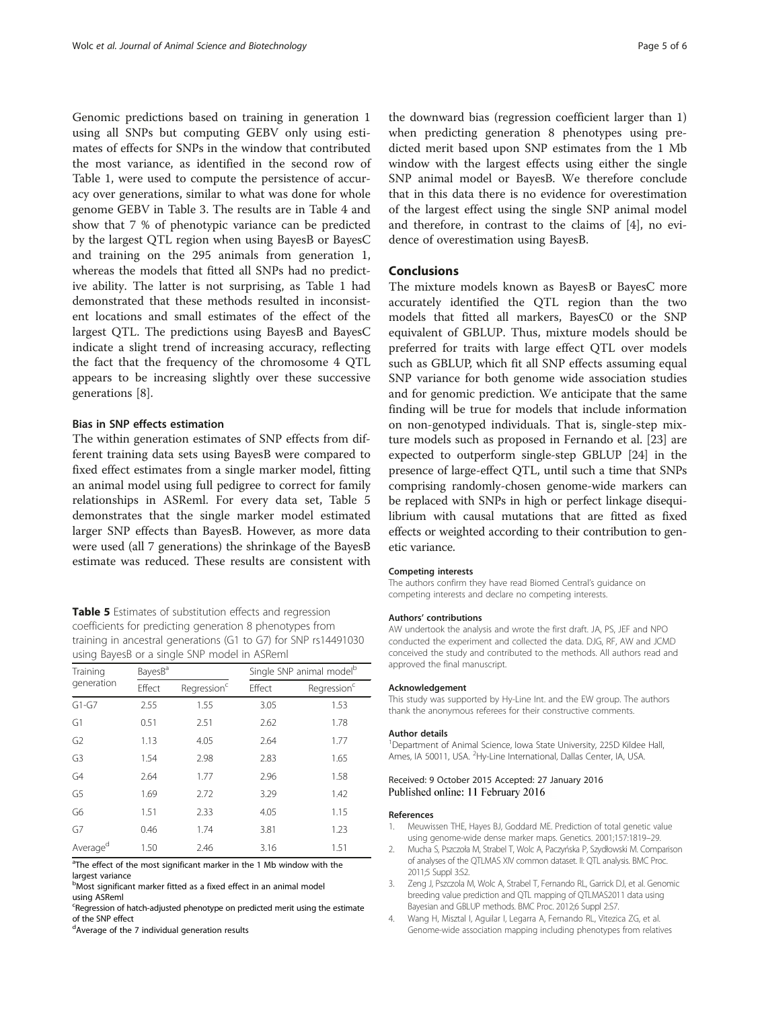<span id="page-4-0"></span>Genomic predictions based on training in generation 1 using all SNPs but computing GEBV only using estimates of effects for SNPs in the window that contributed the most variance, as identified in the second row of Table [1](#page-2-0), were used to compute the persistence of accuracy over generations, similar to what was done for whole genome GEBV in Table [3.](#page-3-0) The results are in Table [4](#page-3-0) and show that 7 % of phenotypic variance can be predicted by the largest QTL region when using BayesB or BayesC and training on the 295 animals from generation 1, whereas the models that fitted all SNPs had no predictive ability. The latter is not surprising, as Table [1](#page-2-0) had demonstrated that these methods resulted in inconsistent locations and small estimates of the effect of the largest QTL. The predictions using BayesB and BayesC indicate a slight trend of increasing accuracy, reflecting the fact that the frequency of the chromosome 4 QTL appears to be increasing slightly over these successive generations [[8\]](#page-5-0).

#### Bias in SNP effects estimation

The within generation estimates of SNP effects from different training data sets using BayesB were compared to fixed effect estimates from a single marker model, fitting an animal model using full pedigree to correct for family relationships in ASReml. For every data set, Table 5 demonstrates that the single marker model estimated larger SNP effects than BayesB. However, as more data were used (all 7 generations) the shrinkage of the BayesB estimate was reduced. These results are consistent with

Table 5 Estimates of substitution effects and regression coefficients for predicting generation 8 phenotypes from training in ancestral generations (G1 to G7) for SNP rs14491030 using BayesB or a single SNP model in ASReml

| Training             | BayesB <sup>a</sup> |                         | Single SNP animal model <sup>b</sup> |                         |  |
|----------------------|---------------------|-------------------------|--------------------------------------|-------------------------|--|
| generation           | Effect              | Regression <sup>c</sup> | Effect                               | Regression <sup>c</sup> |  |
| $G1-G7$              | 2.55                | 1.55                    | 3.05                                 | 1.53                    |  |
| G1                   | 0.51                | 2.51                    | 2.62                                 | 1.78                    |  |
| G <sub>2</sub>       | 1.13                | 4.05                    | 2.64                                 | 1.77                    |  |
| G <sub>3</sub>       | 1.54                | 2.98                    | 2.83                                 | 1.65                    |  |
| G4                   | 2.64                | 1.77                    | 2.96                                 | 1.58                    |  |
| G5                   | 1.69                | 2.72                    | 3.29                                 | 1.42                    |  |
| G6                   | 1.51                | 2.33                    | 4.05                                 | 1.15                    |  |
| G7                   | 0.46                | 1.74                    | 3.81                                 | 1.23                    |  |
| Average <sup>d</sup> | 1.50                | 2.46                    | 3.16                                 | 1.51                    |  |

<sup>a</sup>The effect of the most significant marker in the 1 Mb window with the largest variance

b<br>Most significant marker fitted as a fixed effect in an animal model using ASReml

Regression of hatch-adjusted phenotype on predicted merit using the estimate of the SNP effect

<sup>d</sup>Average of the 7 individual generation results

the downward bias (regression coefficient larger than 1) when predicting generation 8 phenotypes using predicted merit based upon SNP estimates from the 1 Mb window with the largest effects using either the single SNP animal model or BayesB. We therefore conclude that in this data there is no evidence for overestimation of the largest effect using the single SNP animal model and therefore, in contrast to the claims of [4], no evidence of overestimation using BayesB.

#### Conclusions

The mixture models known as BayesB or BayesC more accurately identified the QTL region than the two models that fitted all markers, BayesC0 or the SNP equivalent of GBLUP. Thus, mixture models should be preferred for traits with large effect QTL over models such as GBLUP, which fit all SNP effects assuming equal SNP variance for both genome wide association studies and for genomic prediction. We anticipate that the same finding will be true for models that include information on non-genotyped individuals. That is, single-step mixture models such as proposed in Fernando et al. [[23\]](#page-5-0) are expected to outperform single-step GBLUP [\[24](#page-5-0)] in the presence of large-effect QTL, until such a time that SNPs comprising randomly-chosen genome-wide markers can be replaced with SNPs in high or perfect linkage disequilibrium with causal mutations that are fitted as fixed effects or weighted according to their contribution to genetic variance.

#### Competing interests

The authors confirm they have read Biomed Central's guidance on competing interests and declare no competing interests.

#### Authors' contributions

AW undertook the analysis and wrote the first draft. JA, PS, JEF and NPO conducted the experiment and collected the data. DJG, RF, AW and JCMD conceived the study and contributed to the methods. All authors read and approved the final manuscript.

#### Acknowledgement

This study was supported by Hy-Line Int. and the EW group. The authors thank the anonymous referees for their constructive comments.

#### Author details

<sup>1</sup>Department of Animal Science, Iowa State University, 225D Kildee Hall Ames, IA 50011, USA. <sup>2</sup>Hy-Line International, Dallas Center, IA, USA.

#### Received: 9 October 2015 Accepted: 27 January 2016 Published online: 11 February 2016

#### References

- 1. Meuwissen THE, Hayes BJ, Goddard ME. Prediction of total genetic value using genome-wide dense marker maps. Genetics. 2001;157:1819–29.
- 2. Mucha S, Pszczoła M, Strabel T, Wolc A, Paczyńska P, Szydłowski M. Comparison of analyses of the QTLMAS XIV common dataset. II: QTL analysis. BMC Proc. 2011;5 Suppl 3:S2.
- 3. Zeng J, Pszczola M, Wolc A, Strabel T, Fernando RL, Garrick DJ, et al. Genomic breeding value prediction and QTL mapping of QTLMAS2011 data using Bayesian and GBLUP methods. BMC Proc. 2012;6 Suppl 2:S7.
- 4. Wang H, Misztal I, Aguilar I, Legarra A, Fernando RL, Vitezica ZG, et al. Genome-wide association mapping including phenotypes from relatives